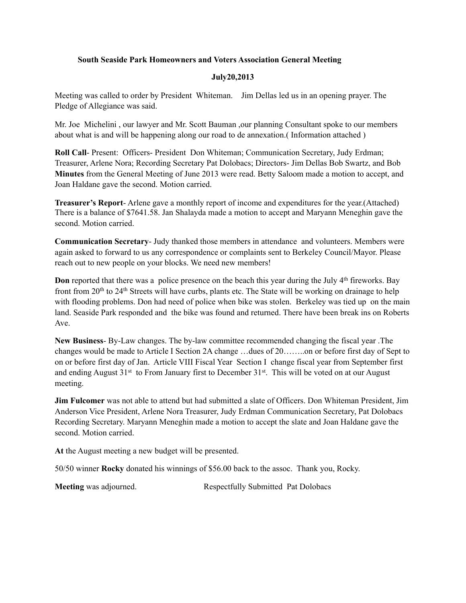## **South Seaside Park Homeowners and Voters Association General Meeting**

## **July20,2013**

Meeting was called to order by President Whiteman. Jim Dellas led us in an opening prayer. The Pledge of Allegiance was said.

Mr. Joe Michelini , our lawyer and Mr. Scott Bauman ,our planning Consultant spoke to our members about what is and will be happening along our road to de annexation.( Information attached )

**Roll Call**- Present: Officers- President Don Whiteman; Communication Secretary, Judy Erdman; Treasurer, Arlene Nora; Recording Secretary Pat Dolobacs; Directors- Jim Dellas Bob Swartz, and Bob **Minutes** from the General Meeting of June 2013 were read. Betty Saloom made a motion to accept, and Joan Haldane gave the second. Motion carried.

**Treasurer's Report**- Arlene gave a monthly report of income and expenditures for the year.(Attached) There is a balance of \$7641.58. Jan Shalayda made a motion to accept and Maryann Meneghin gave the second. Motion carried.

**Communication Secretary**- Judy thanked those members in attendance and volunteers. Members were again asked to forward to us any correspondence or complaints sent to Berkeley Council/Mayor. Please reach out to new people on your blocks. We need new members!

**Don** reported that there was a police presence on the beach this year during the July 4<sup>th</sup> fireworks. Bay front from 20<sup>th</sup> to 24<sup>th</sup> Streets will have curbs, plants etc. The State will be working on drainage to help with flooding problems. Don had need of police when bike was stolen. Berkeley was tied up on the main land. Seaside Park responded and the bike was found and returned. There have been break ins on Roberts Ave.

**New Business**- By-Law changes. The by-law committee recommended changing the fiscal year .The changes would be made to Article I Section 2A change …dues of 20……..on or before first day of Sept to on or before first day of Jan. Article VIII Fiscal Year Section I change fiscal year from September first and ending August 31<sup>st</sup> to From January first to December 31<sup>st</sup>. This will be voted on at our August meeting.

**Jim Fulcomer** was not able to attend but had submitted a slate of Officers. Don Whiteman President, Jim Anderson Vice President, Arlene Nora Treasurer, Judy Erdman Communication Secretary, Pat Dolobacs Recording Secretary. Maryann Meneghin made a motion to accept the slate and Joan Haldane gave the second. Motion carried.

**At** the August meeting a new budget will be presented.

50/50 winner **Rocky** donated his winnings of \$56.00 back to the assoc. Thank you, Rocky.

**Meeting** was adjourned. The Respectfully Submitted Pat Dolobacs